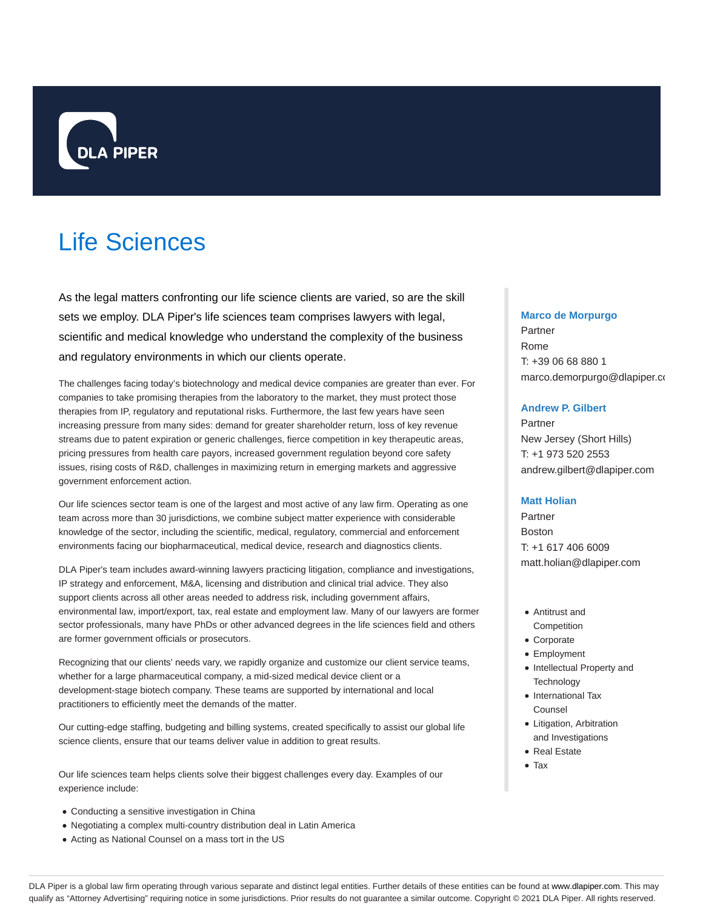

# Life Sciences

As the legal matters confronting our life science clients are varied, so are the skill sets we employ. DLA Piper's life sciences team comprises lawyers with legal, scientific and medical knowledge who understand the complexity of the business and regulatory environments in which our clients operate.

The challenges facing today's biotechnology and medical device companies are greater than ever. For companies to take promising therapies from the laboratory to the market, they must protect those therapies from IP, regulatory and reputational risks. Furthermore, the last few years have seen increasing pressure from many sides: demand for greater shareholder return, loss of key revenue streams due to patent expiration or generic challenges, fierce competition in key therapeutic areas, pricing pressures from health care payors, increased government regulation beyond core safety issues, rising costs of R&D, challenges in maximizing return in emerging markets and aggressive government enforcement action.

Our life sciences sector team is one of the largest and most active of any law firm. Operating as one team across more than 30 jurisdictions, we combine subject matter experience with considerable knowledge of the sector, including the scientific, medical, regulatory, commercial and enforcement environments facing our biopharmaceutical, medical device, research and diagnostics clients.

DLA Piper's team includes award-winning lawyers practicing litigation, compliance and investigations, IP strategy and enforcement, M&A, licensing and distribution and clinical trial advice. They also support clients across all other areas needed to address risk, including government affairs, environmental law, import/export, tax, real estate and employment law. Many of our lawyers are former sector professionals, many have PhDs or other advanced degrees in the life sciences field and others are former government officials or prosecutors.

Recognizing that our clients' needs vary, we rapidly organize and customize our client service teams, whether for a large pharmaceutical company, a mid-sized medical device client or a development-stage biotech company. These teams are supported by international and local practitioners to efficiently meet the demands of the matter.

Our cutting-edge staffing, budgeting and billing systems, created specifically to assist our global life science clients, ensure that our teams deliver value in addition to great results.

Our life sciences team helps clients solve their biggest challenges every day. Examples of our experience include:

- Conducting a sensitive investigation in China
- Negotiating a complex multi-country distribution deal in Latin America
- Acting as National Counsel on a mass tort in the US

## **Marco de Morpurgo**

Partner Rome T: +39 06 68 880 1 marco.demorpurgo@dlapiper.co

# **Andrew P. Gilbert**

Partner New Jersey (Short Hills) T: +1 973 520 2553 andrew.gilbert@dlapiper.com

## **Matt Holian**

Partner Boston T: +1 617 406 6009 matt.holian@dlapiper.com

- Antitrust and
- Competition Corporate
- Employment
- Intellectual Property and **Technology**
- International Tax Counsel
- Litigation, Arbitration and Investigations
- Real Estate
- Tax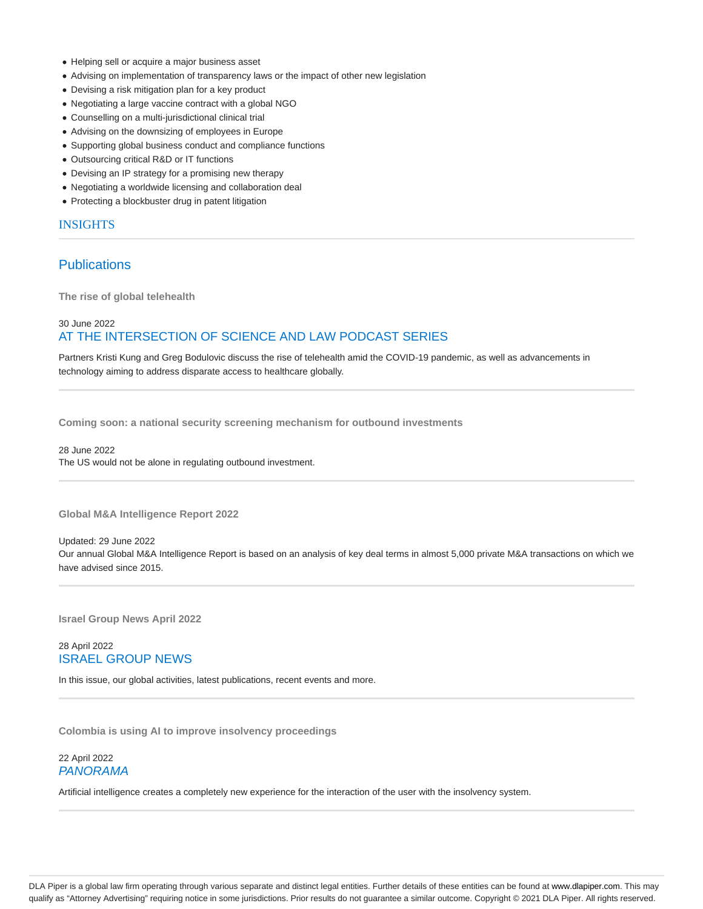- Helping sell or acquire a major business asset
- Advising on implementation of transparency laws or the impact of other new legislation
- Devising a risk mitigation plan for a key product
- Negotiating a large vaccine contract with a global NGO
- Counselling on a multi-jurisdictional clinical trial
- Advising on the downsizing of employees in Europe
- Supporting global business conduct and compliance functions
- Outsourcing critical R&D or IT functions
- Devising an IP strategy for a promising new therapy
- Negotiating a worldwide licensing and collaboration deal
- Protecting a blockbuster drug in patent litigation

# INSIGHTS

# **Publications**

**The rise of global telehealth**

# 30 June 2022 AT THE INTERSECTION OF SCIENCE AND LAW PODCAST SERIES

Partners Kristi Kung and Greg Bodulovic discuss the rise of telehealth amid the COVID-19 pandemic, as well as advancements in technology aiming to address disparate access to healthcare globally.

**Coming soon: a national security screening mechanism for outbound investments**

28 June 2022 The US would not be alone in regulating outbound investment.

**Global M&A Intelligence Report 2022**

## Updated: 29 June 2022

Our annual Global M&A Intelligence Report is based on an analysis of key deal terms in almost 5,000 private M&A transactions on which we have advised since 2015.

**Israel Group News April 2022**

# 28 April 2022 ISRAEL GROUP NEWS

In this issue, our global activities, latest publications, recent events and more.

**Colombia is using AI to improve insolvency proceedings**

# 22 April 2022 PANORAMA

Artificial intelligence creates a completely new experience for the interaction of the user with the insolvency system.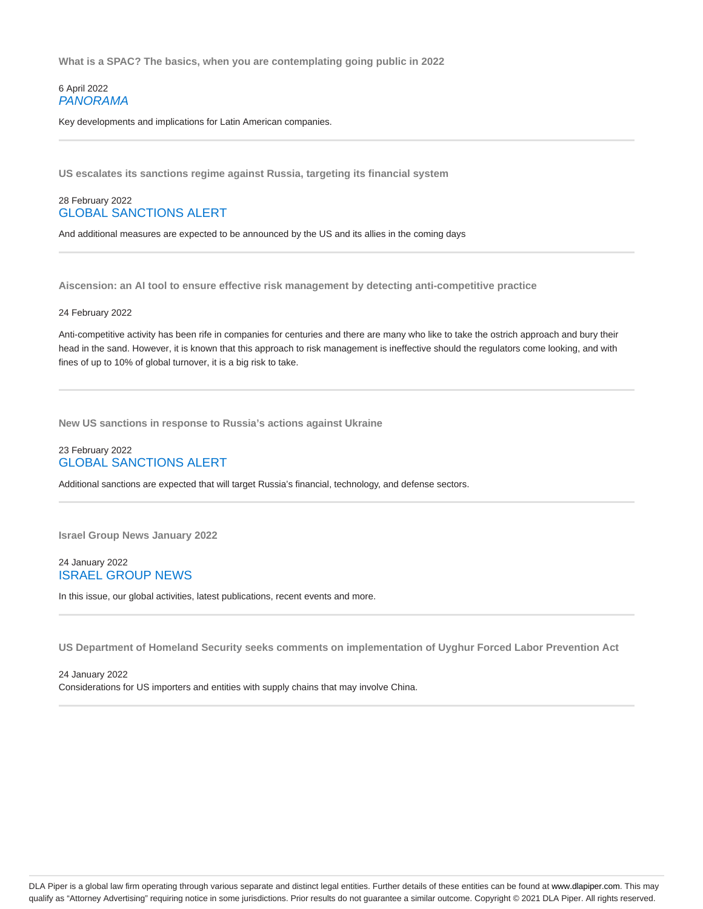**What is a SPAC? The basics, when you are contemplating going public in 2022**

# 6 April 2022 PANORAMA

Key developments and implications for Latin American companies.

**US escalates its sanctions regime against Russia, targeting its financial system**

# 28 February 2022 GLOBAL SANCTIONS ALERT

And additional measures are expected to be announced by the US and its allies in the coming days

**Aiscension: an AI tool to ensure effective risk management by detecting anti-competitive practice**

#### 24 February 2022

Anti-competitive activity has been rife in companies for centuries and there are many who like to take the ostrich approach and bury their head in the sand. However, it is known that this approach to risk management is ineffective should the regulators come looking, and with fines of up to 10% of global turnover, it is a big risk to take.

**New US sanctions in response to Russia's actions against Ukraine**

## 23 February 2022 GLOBAL SANCTIONS ALERT

Additional sanctions are expected that will target Russia's financial, technology, and defense sectors.

**Israel Group News January 2022**

# 24 January 2022 ISRAEL GROUP NEWS

In this issue, our global activities, latest publications, recent events and more.

**US Department of Homeland Security seeks comments on implementation of Uyghur Forced Labor Prevention Act**

24 January 2022 Considerations for US importers and entities with supply chains that may involve China.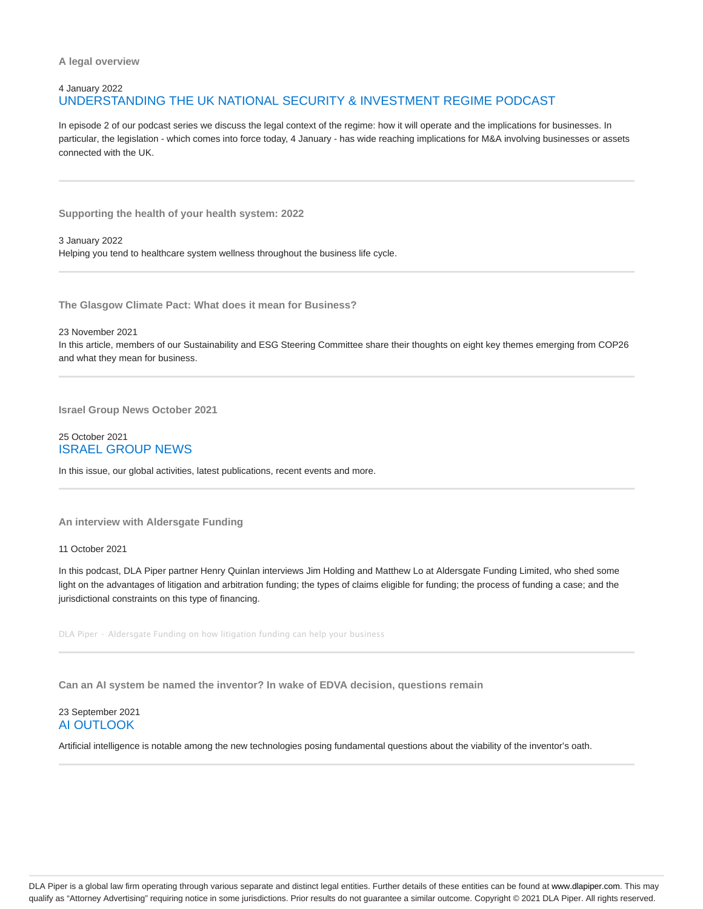# 4 January 2022 UNDERSTANDING THE UK NATIONAL SECURITY & INVESTMENT REGIME PODCAST

In episode 2 of our podcast series we discuss the legal context of the regime: how it will operate and the implications for businesses. In particular, the legislation - which comes into force today, 4 January - has wide reaching implications for M&A involving businesses or assets connected with the UK.

**Supporting the health of your health system: 2022**

3 January 2022 Helping you tend to healthcare system wellness throughout the business life cycle.

**The Glasgow Climate Pact: What does it mean for Business?**

23 November 2021 In this article, members of our Sustainability and ESG Steering Committee share their thoughts on eight key themes emerging from COP26 and what they mean for business.

**Israel Group News October 2021**

## 25 October 2021 ISRAEL GROUP NEWS

In this issue, our global activities, latest publications, recent events and more.

**An interview with Aldersgate Funding**

11 October 2021

In this podcast, DLA Piper partner Henry Quinlan interviews Jim Holding and Matthew Lo at Aldersgate Funding Limited, who shed some light on the advantages of litigation and arbitration funding; the types of claims eligible for funding; the process of funding a case; and the jurisdictional constraints on this type of financing.

DLA Piper · Aldersgate Funding on how litigation funding can help your business

**Can an AI system be named the inventor? In wake of EDVA decision, questions remain**

# 23 September 2021 AI OUTLOOK

Artificial intelligence is notable among the new technologies posing fundamental questions about the viability of the inventor's oath.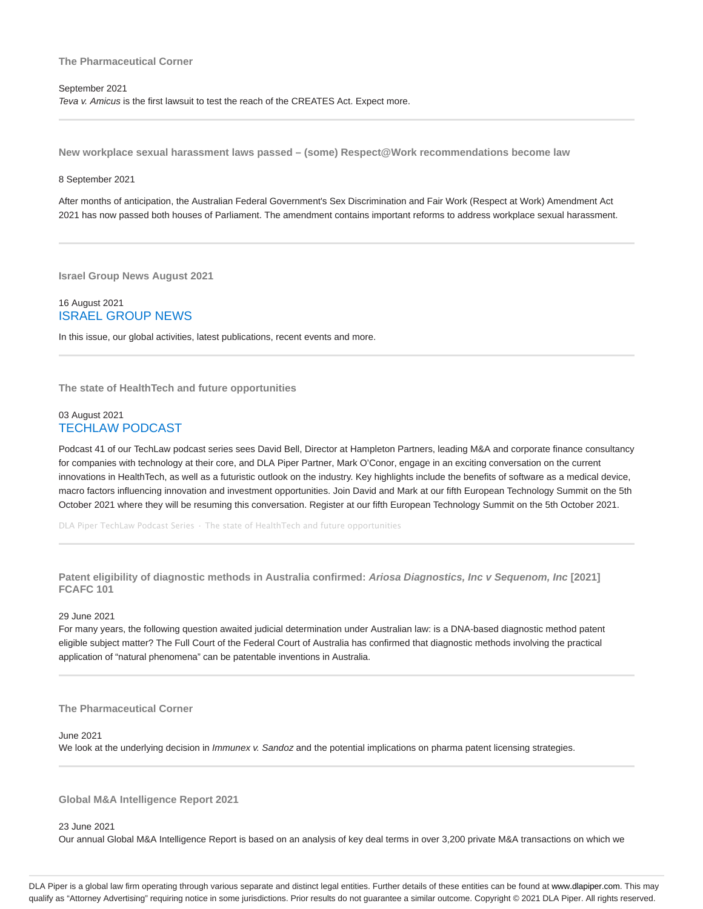## **The Pharmaceutical Corner**

# September 2021 Teva v. Amicus is the first lawsuit to test the reach of the CREATES Act. Expect more.

**New workplace sexual harassment laws passed – (some) Respect@Work recommendations become law**

## 8 September 2021

After months of anticipation, the Australian Federal Government's Sex Discrimination and Fair Work (Respect at Work) Amendment Act 2021 has now passed both houses of Parliament. The amendment contains important reforms to address workplace sexual harassment.

**Israel Group News August 2021**

# 16 August 2021 ISRAEL GROUP NEWS

In this issue, our global activities, latest publications, recent events and more.

**The state of HealthTech and future opportunities**

# 03 August 2021 TECHLAW PODCAST

Podcast 41 of our TechLaw podcast series sees David Bell, Director at Hampleton Partners, leading M&A and corporate finance consultancy for companies with technology at their core, and DLA Piper Partner, Mark O'Conor, engage in an exciting conversation on the current innovations in HealthTech, as well as a futuristic outlook on the industry. Key highlights include the benefits of software as a medical device, macro factors influencing innovation and investment opportunities. Join David and Mark at our fifth European Technology Summit on the 5th October 2021 where they will be resuming this conversation. Register at our fifth European Technology Summit on the 5th October 2021.

DLA Piper TechLaw Podcast Series · The state of HealthTech and future opportunities

**Patent eligibility of diagnostic methods in Australia confirmed: Ariosa Diagnostics, Inc v Sequenom, Inc [2021] FCAFC 101**

## 29 June 2021

For many years, the following question awaited judicial determination under Australian law: is a DNA-based diagnostic method patent eligible subject matter? The Full Court of the Federal Court of Australia has confirmed that diagnostic methods involving the practical application of "natural phenomena" can be patentable inventions in Australia.

# **The Pharmaceutical Corner**

## June 2021

We look at the underlying decision in *Immunex v. Sandoz* and the potential implications on pharma patent licensing strategies.

**Global M&A Intelligence Report 2021**

23 June 2021

Our annual Global M&A Intelligence Report is based on an analysis of key deal terms in over 3,200 private M&A transactions on which we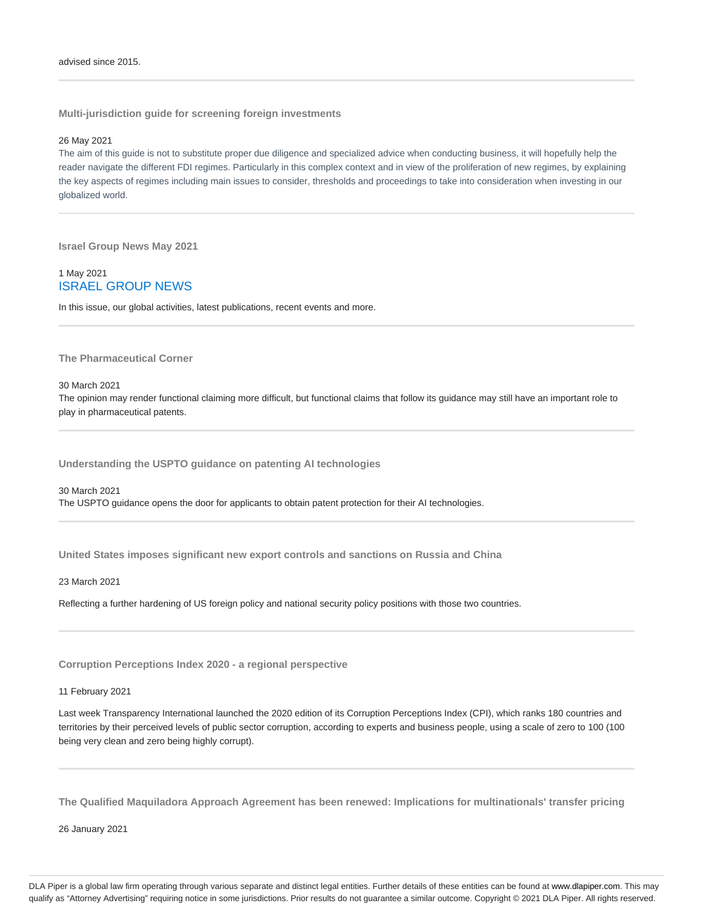**Multi-jurisdiction guide for screening foreign investments**

## 26 May 2021

The aim of this guide is not to substitute proper due diligence and specialized advice when conducting business, it will hopefully help the reader navigate the different FDI regimes. Particularly in this complex context and in view of the proliferation of new regimes, by explaining the key aspects of regimes including main issues to consider, thresholds and proceedings to take into consideration when investing in our globalized world.

**Israel Group News May 2021**

# 1 May 2021 ISRAEL GROUP NEWS

In this issue, our global activities, latest publications, recent events and more.

**The Pharmaceutical Corner**

## 30 March 2021

The opinion may render functional claiming more difficult, but functional claims that follow its guidance may still have an important role to play in pharmaceutical patents.

**Understanding the USPTO guidance on patenting AI technologies**

30 March 2021 The USPTO guidance opens the door for applicants to obtain patent protection for their AI technologies.

**United States imposes significant new export controls and sanctions on Russia and China**

23 March 2021

Reflecting a further hardening of US foreign policy and national security policy positions with those two countries.

**Corruption Perceptions Index 2020 - a regional perspective**

## 11 February 2021

Last week Transparency International launched the 2020 edition of its Corruption Perceptions Index (CPI), which ranks 180 countries and territories by their perceived levels of public sector corruption, according to experts and business people, using a scale of zero to 100 (100 being very clean and zero being highly corrupt).

**The Qualified Maquiladora Approach Agreement has been renewed: Implications for multinationals' transfer pricing**

26 January 2021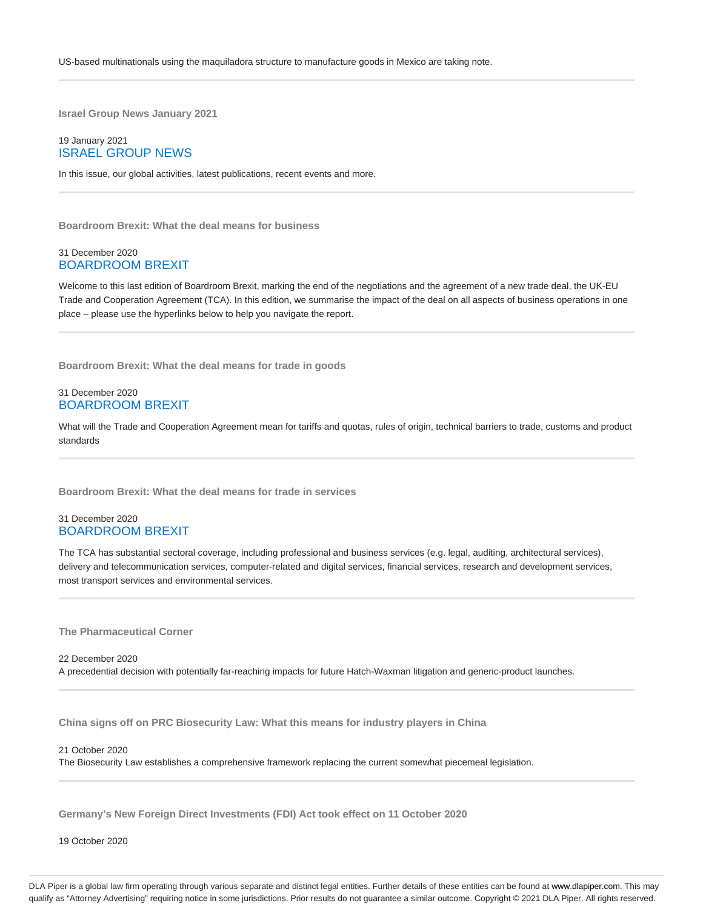**Israel Group News January 2021**

# 19 January 2021 ISRAEL GROUP NEWS

In this issue, our global activities, latest publications, recent events and more.

**Boardroom Brexit: What the deal means for business**

# 31 December 2020 BOARDROOM BREXIT

Welcome to this last edition of Boardroom Brexit, marking the end of the negotiations and the agreement of a new trade deal, the UK-EU Trade and Cooperation Agreement (TCA). In this edition, we summarise the impact of the deal on all aspects of business operations in one place – please use the hyperlinks below to help you navigate the report.

**Boardroom Brexit: What the deal means for trade in goods**

# 31 December 2020 BOARDROOM BREXIT

What will the Trade and Cooperation Agreement mean for tariffs and quotas, rules of origin, technical barriers to trade, customs and product standards

**Boardroom Brexit: What the deal means for trade in services**

# 31 December 2020 BOARDROOM BREXIT

The TCA has substantial sectoral coverage, including professional and business services (e.g. legal, auditing, architectural services), delivery and telecommunication services, computer-related and digital services, financial services, research and development services, most transport services and environmental services.

**The Pharmaceutical Corner**

22 December 2020 A precedential decision with potentially far-reaching impacts for future Hatch-Waxman litigation and generic-product launches.

**China signs off on PRC Biosecurity Law: What this means for industry players in China**

21 October 2020

The Biosecurity Law establishes a comprehensive framework replacing the current somewhat piecemeal legislation.

**Germany's New Foreign Direct Investments (FDI) Act took effect on 11 October 2020**

19 October 2020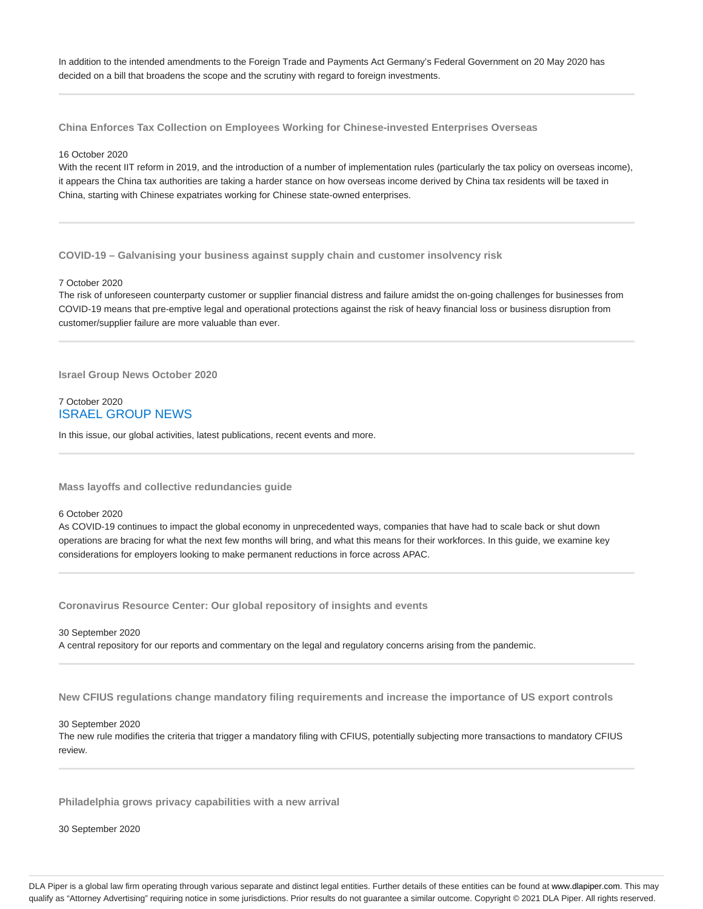In addition to the intended amendments to the Foreign Trade and Payments Act Germany's Federal Government on 20 May 2020 has decided on a bill that broadens the scope and the scrutiny with regard to foreign investments.

**China Enforces Tax Collection on Employees Working for Chinese-invested Enterprises Overseas**

## 16 October 2020

With the recent IIT reform in 2019, and the introduction of a number of implementation rules (particularly the tax policy on overseas income), it appears the China tax authorities are taking a harder stance on how overseas income derived by China tax residents will be taxed in China, starting with Chinese expatriates working for Chinese state-owned enterprises.

**COVID-19 – Galvanising your business against supply chain and customer insolvency risk**

## 7 October 2020

The risk of unforeseen counterparty customer or supplier financial distress and failure amidst the on-going challenges for businesses from COVID-19 means that pre-emptive legal and operational protections against the risk of heavy financial loss or business disruption from customer/supplier failure are more valuable than ever.

**Israel Group News October 2020**

# 7 October 2020 ISRAEL GROUP NEWS

In this issue, our global activities, latest publications, recent events and more.

**Mass layoffs and collective redundancies guide**

# 6 October 2020

As COVID-19 continues to impact the global economy in unprecedented ways, companies that have had to scale back or shut down operations are bracing for what the next few months will bring, and what this means for their workforces. In this guide, we examine key considerations for employers looking to make permanent reductions in force across APAC.

**Coronavirus Resource Center: Our global repository of insights and events**

30 September 2020

A central repository for our reports and commentary on the legal and regulatory concerns arising from the pandemic.

**New CFIUS regulations change mandatory filing requirements and increase the importance of US export controls**

30 September 2020

The new rule modifies the criteria that trigger a mandatory filing with CFIUS, potentially subjecting more transactions to mandatory CFIUS review.

**Philadelphia grows privacy capabilities with a new arrival**

30 September 2020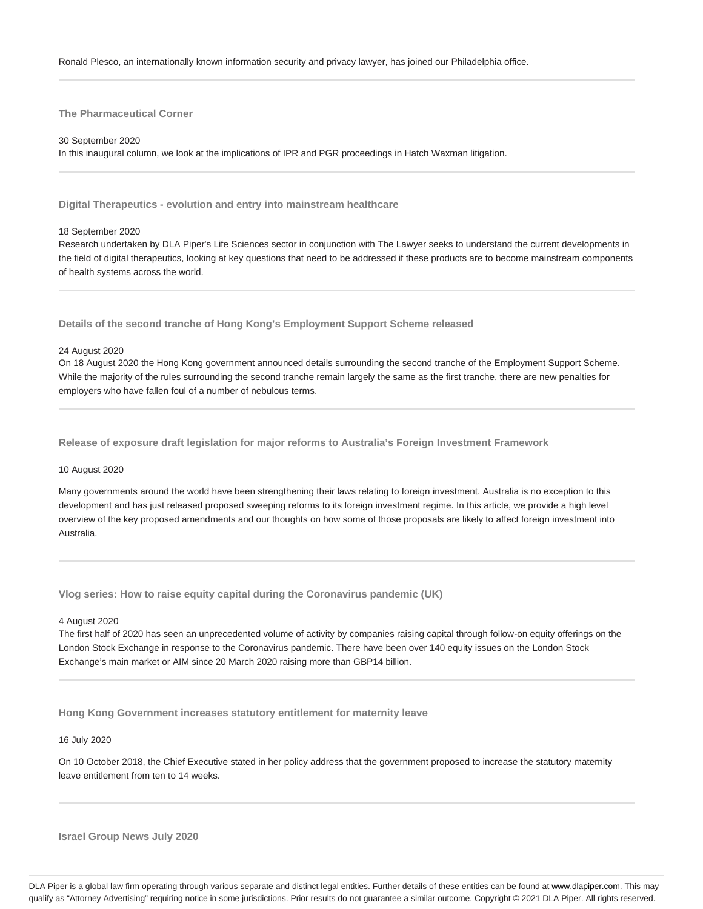# **The Pharmaceutical Corner**

## 30 September 2020

In this inaugural column, we look at the implications of IPR and PGR proceedings in Hatch Waxman litigation.

**Digital Therapeutics - evolution and entry into mainstream healthcare**

## 18 September 2020

Research undertaken by DLA Piper's Life Sciences sector in conjunction with The Lawyer seeks to understand the current developments in the field of digital therapeutics, looking at key questions that need to be addressed if these products are to become mainstream components of health systems across the world.

**Details of the second tranche of Hong Kong's Employment Support Scheme released**

## 24 August 2020

On 18 August 2020 the Hong Kong government announced details surrounding the second tranche of the Employment Support Scheme. While the majority of the rules surrounding the second tranche remain largely the same as the first tranche, there are new penalties for employers who have fallen foul of a number of nebulous terms.

**Release of exposure draft legislation for major reforms to Australia's Foreign Investment Framework**

#### 10 August 2020

Many governments around the world have been strengthening their laws relating to foreign investment. Australia is no exception to this development and has just released proposed sweeping reforms to its foreign investment regime. In this article, we provide a high level overview of the key proposed amendments and our thoughts on how some of those proposals are likely to affect foreign investment into Australia.

**Vlog series: How to raise equity capital during the Coronavirus pandemic (UK)**

## 4 August 2020

The first half of 2020 has seen an unprecedented volume of activity by companies raising capital through follow-on equity offerings on the London Stock Exchange in response to the Coronavirus pandemic. There have been over 140 equity issues on the London Stock Exchange's main market or AIM since 20 March 2020 raising more than GBP14 billion.

**Hong Kong Government increases statutory entitlement for maternity leave**

## 16 July 2020

On 10 October 2018, the Chief Executive stated in her policy address that the government proposed to increase the statutory maternity leave entitlement from ten to 14 weeks.

**Israel Group News July 2020**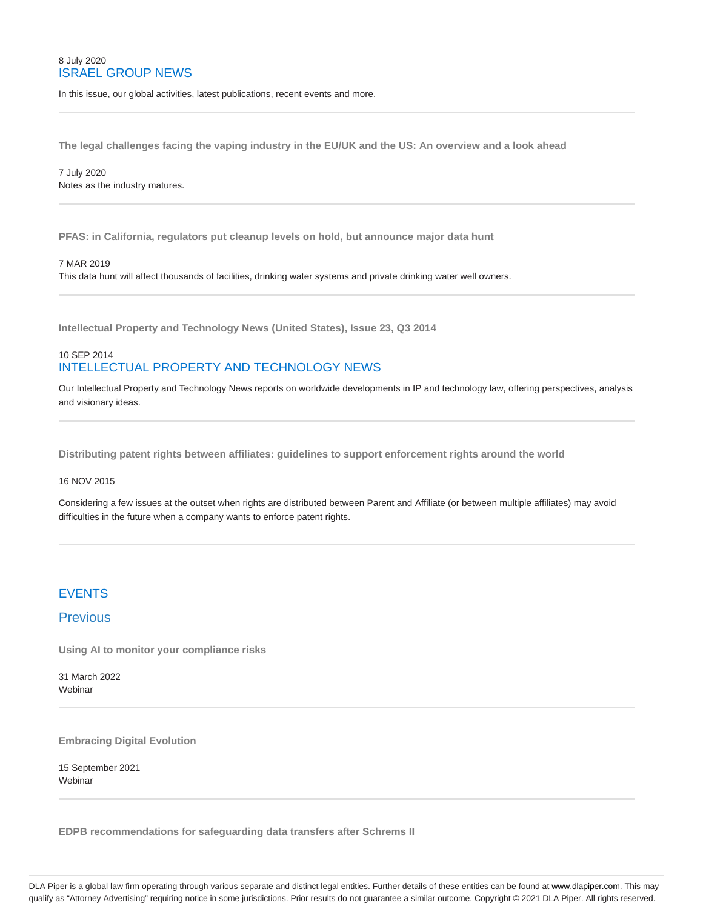# 8 July 2020 ISRAEL GROUP NEWS

In this issue, our global activities, latest publications, recent events and more.

**The legal challenges facing the vaping industry in the EU/UK and the US: An overview and a look ahead**

7 July 2020 Notes as the industry matures.

**PFAS: in California, regulators put cleanup levels on hold, but announce major data hunt**

## 7 MAR 2019

This data hunt will affect thousands of facilities, drinking water systems and private drinking water well owners.

**Intellectual Property and Technology News (United States), Issue 23, Q3 2014**

# 10 SEP 2014 INTELLECTUAL PROPERTY AND TECHNOLOGY NEWS

Our Intellectual Property and Technology News reports on worldwide developments in IP and technology law, offering perspectives, analysis and visionary ideas.

**Distributing patent rights between affiliates: guidelines to support enforcement rights around the world**

## 16 NOV 2015

Considering a few issues at the outset when rights are distributed between Parent and Affiliate (or between multiple affiliates) may avoid difficulties in the future when a company wants to enforce patent rights.

# EVENTS

# **Previous**

**Using AI to monitor your compliance risks**

31 March 2022 Webinar

**Embracing Digital Evolution**

15 September 2021 Webinar

**EDPB recommendations for safeguarding data transfers after Schrems II**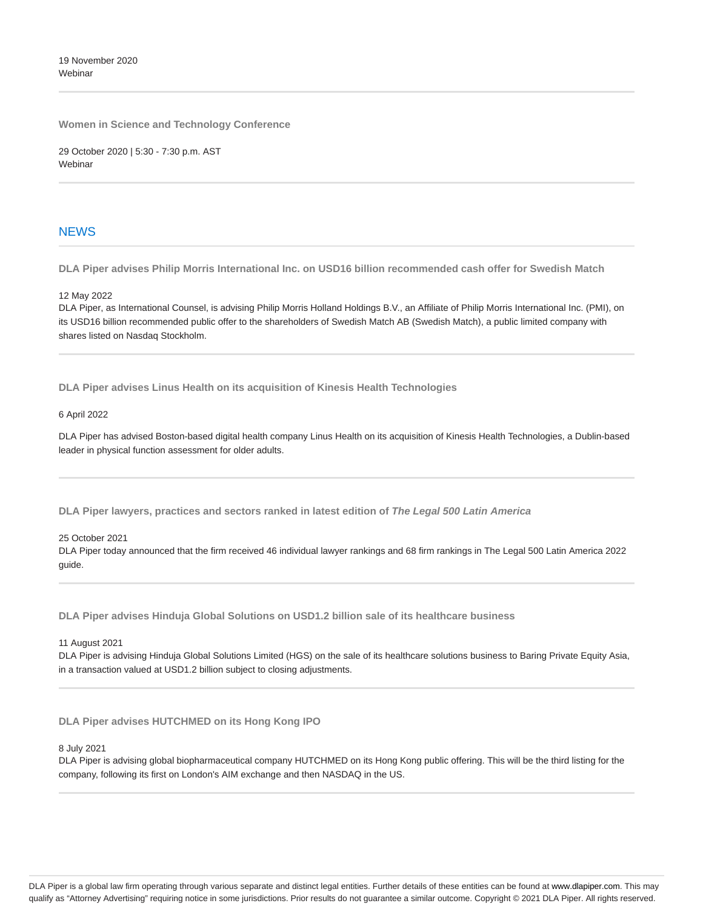19 November 2020 **Webinar** 

**Women in Science and Technology Conference**

29 October 2020 | 5:30 - 7:30 p.m. AST **Webinar** 

# **NEWS**

**DLA Piper advises Philip Morris International Inc. on USD16 billion recommended cash offer for Swedish Match**

12 May 2022

DLA Piper, as International Counsel, is advising Philip Morris Holland Holdings B.V., an Affiliate of Philip Morris International Inc. (PMI), on its USD16 billion recommended public offer to the shareholders of Swedish Match AB (Swedish Match), a public limited company with shares listed on Nasdaq Stockholm.

**DLA Piper advises Linus Health on its acquisition of Kinesis Health Technologies**

## 6 April 2022

DLA Piper has advised Boston-based digital health company Linus Health on its acquisition of Kinesis Health Technologies, a Dublin-based leader in physical function assessment for older adults.

**DLA Piper lawyers, practices and sectors ranked in latest edition of The Legal 500 Latin America**

25 October 2021

DLA Piper today announced that the firm received 46 individual lawyer rankings and 68 firm rankings in The Legal 500 Latin America 2022 guide.

**DLA Piper advises Hinduja Global Solutions on USD1.2 billion sale of its healthcare business**

11 August 2021

DLA Piper is advising Hinduja Global Solutions Limited (HGS) on the sale of its healthcare solutions business to Baring Private Equity Asia, in a transaction valued at USD1.2 billion subject to closing adjustments.

**DLA Piper advises HUTCHMED on its Hong Kong IPO**

8 July 2021

DLA Piper is advising global biopharmaceutical company HUTCHMED on its Hong Kong public offering. This will be the third listing for the company, following its first on London's AIM exchange and then NASDAQ in the US.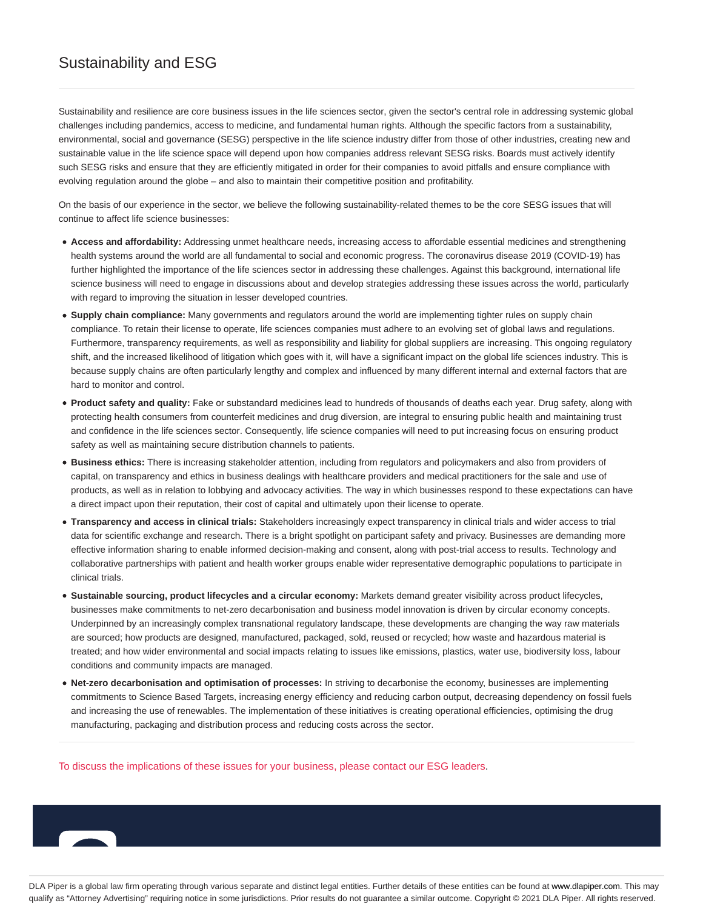# Sustainability and ESG

Sustainability and resilience are core business issues in the life sciences sector, given the sector's central role in addressing systemic global challenges including pandemics, access to medicine, and fundamental human rights. Although the specific factors from a sustainability, environmental, social and governance (SESG) perspective in the life science industry differ from those of other industries, creating new and sustainable value in the life science space will depend upon how companies address relevant SESG risks. Boards must actively identify such SESG risks and ensure that they are efficiently mitigated in order for their companies to avoid pitfalls and ensure compliance with evolving regulation around the globe – and also to maintain their competitive position and profitability.

On the basis of our experience in the sector, we believe the following sustainability-related themes to be the core SESG issues that will continue to affect life science businesses:

- **Access and affordability:** Addressing unmet healthcare needs, increasing access to affordable essential medicines and strengthening health systems around the world are all fundamental to social and economic progress. The coronavirus disease 2019 (COVID-19) has further highlighted the importance of the life sciences sector in addressing these challenges. Against this background, international life science business will need to engage in discussions about and develop strategies addressing these issues across the world, particularly with regard to improving the situation in lesser developed countries.
- **Supply chain compliance:** Many governments and regulators around the world are implementing tighter rules on supply chain compliance. To retain their license to operate, life sciences companies must adhere to an evolving set of global laws and regulations. Furthermore, transparency requirements, as well as responsibility and liability for global suppliers are increasing. This ongoing regulatory shift, and the increased likelihood of litigation which goes with it, will have a significant impact on the global life sciences industry. This is because supply chains are often particularly lengthy and complex and influenced by many different internal and external factors that are hard to monitor and control.
- **Product safety and quality:** Fake or substandard medicines lead to hundreds of thousands of deaths each year. Drug safety, along with protecting health consumers from counterfeit medicines and drug diversion, are integral to ensuring public health and maintaining trust and confidence in the life sciences sector. Consequently, life science companies will need to put increasing focus on ensuring product safety as well as maintaining secure distribution channels to patients.
- **Business ethics:** There is increasing stakeholder attention, including from regulators and policymakers and also from providers of capital, on transparency and ethics in business dealings with healthcare providers and medical practitioners for the sale and use of products, as well as in relation to lobbying and advocacy activities. The way in which businesses respond to these expectations can have a direct impact upon their reputation, their cost of capital and ultimately upon their license to operate.
- **Transparency and access in clinical trials:** Stakeholders increasingly expect transparency in clinical trials and wider access to trial data for scientific exchange and research. There is a bright spotlight on participant safety and privacy. Businesses are demanding more effective information sharing to enable informed decision-making and consent, along with post-trial access to results. Technology and collaborative partnerships with patient and health worker groups enable wider representative demographic populations to participate in clinical trials.
- **Sustainable sourcing, product lifecycles and a circular economy:** Markets demand greater visibility across product lifecycles, businesses make commitments to net-zero decarbonisation and business model innovation is driven by circular economy concepts. Underpinned by an increasingly complex transnational regulatory landscape, these developments are changing the way raw materials are sourced; how products are designed, manufactured, packaged, sold, reused or recycled; how waste and hazardous material is treated; and how wider environmental and social impacts relating to issues like emissions, plastics, water use, biodiversity loss, labour conditions and community impacts are managed.
- **Net-zero decarbonisation and optimisation of processes:** In striving to decarbonise the economy, businesses are implementing commitments to Science Based Targets, increasing energy efficiency and reducing carbon output, decreasing dependency on fossil fuels and increasing the use of renewables. The implementation of these initiatives is creating operational efficiencies, optimising the drug manufacturing, packaging and distribution process and reducing costs across the sector.

To discuss the implications of these issues for your business, please contact our ESG leaders.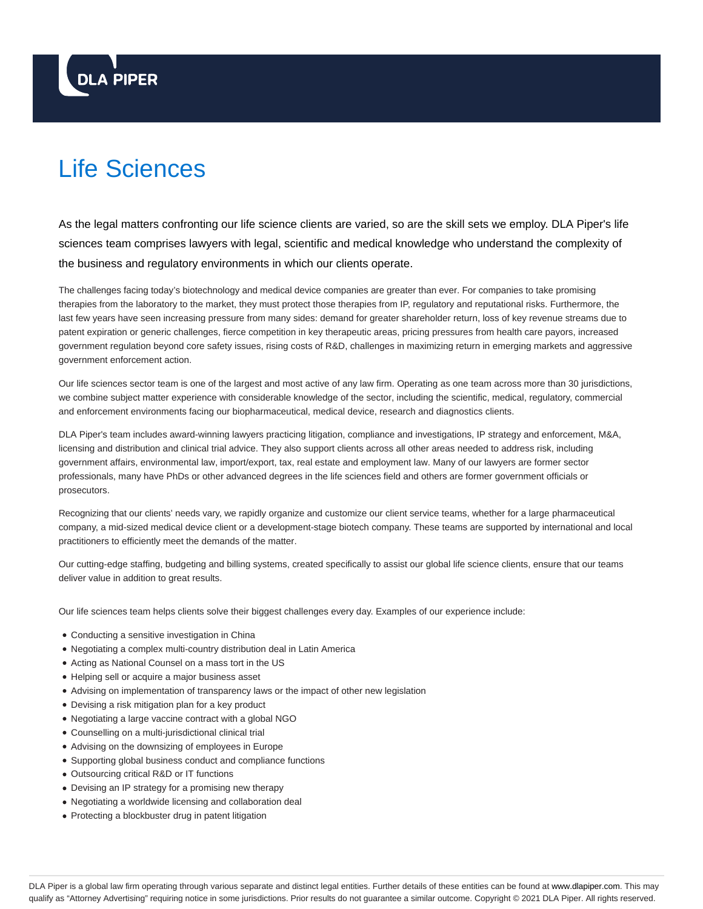# **DLA PIPER**

# Life Sciences

As the legal matters confronting our life science clients are varied, so are the skill sets we employ. DLA Piper's life sciences team comprises lawyers with legal, scientific and medical knowledge who understand the complexity of the business and regulatory environments in which our clients operate.

The challenges facing today's biotechnology and medical device companies are greater than ever. For companies to take promising therapies from the laboratory to the market, they must protect those therapies from IP, regulatory and reputational risks. Furthermore, the last few years have seen increasing pressure from many sides: demand for greater shareholder return, loss of key revenue streams due to patent expiration or generic challenges, fierce competition in key therapeutic areas, pricing pressures from health care payors, increased government regulation beyond core safety issues, rising costs of R&D, challenges in maximizing return in emerging markets and aggressive government enforcement action.

Our life sciences sector team is one of the largest and most active of any law firm. Operating as one team across more than 30 jurisdictions, we combine subject matter experience with considerable knowledge of the sector, including the scientific, medical, regulatory, commercial and enforcement environments facing our biopharmaceutical, medical device, research and diagnostics clients.

DLA Piper's team includes award-winning lawyers practicing litigation, compliance and investigations, IP strategy and enforcement, M&A, licensing and distribution and clinical trial advice. They also support clients across all other areas needed to address risk, including government affairs, environmental law, import/export, tax, real estate and employment law. Many of our lawyers are former sector professionals, many have PhDs or other advanced degrees in the life sciences field and others are former government officials or prosecutors.

Recognizing that our clients' needs vary, we rapidly organize and customize our client service teams, whether for a large pharmaceutical company, a mid-sized medical device client or a development-stage biotech company. These teams are supported by international and local practitioners to efficiently meet the demands of the matter.

Our cutting-edge staffing, budgeting and billing systems, created specifically to assist our global life science clients, ensure that our teams deliver value in addition to great results.

Our life sciences team helps clients solve their biggest challenges every day. Examples of our experience include:

- Conducting a sensitive investigation in China
- Negotiating a complex multi-country distribution deal in Latin America
- Acting as National Counsel on a mass tort in the US
- Helping sell or acquire a major business asset
- Advising on implementation of transparency laws or the impact of other new legislation
- Devising a risk mitigation plan for a key product
- Negotiating a large vaccine contract with a global NGO
- Counselling on a multi-jurisdictional clinical trial
- Advising on the downsizing of employees in Europe
- Supporting global business conduct and compliance functions
- Outsourcing critical R&D or IT functions
- Devising an IP strategy for a promising new therapy
- Negotiating a worldwide licensing and collaboration deal
- Protecting a blockbuster drug in patent litigation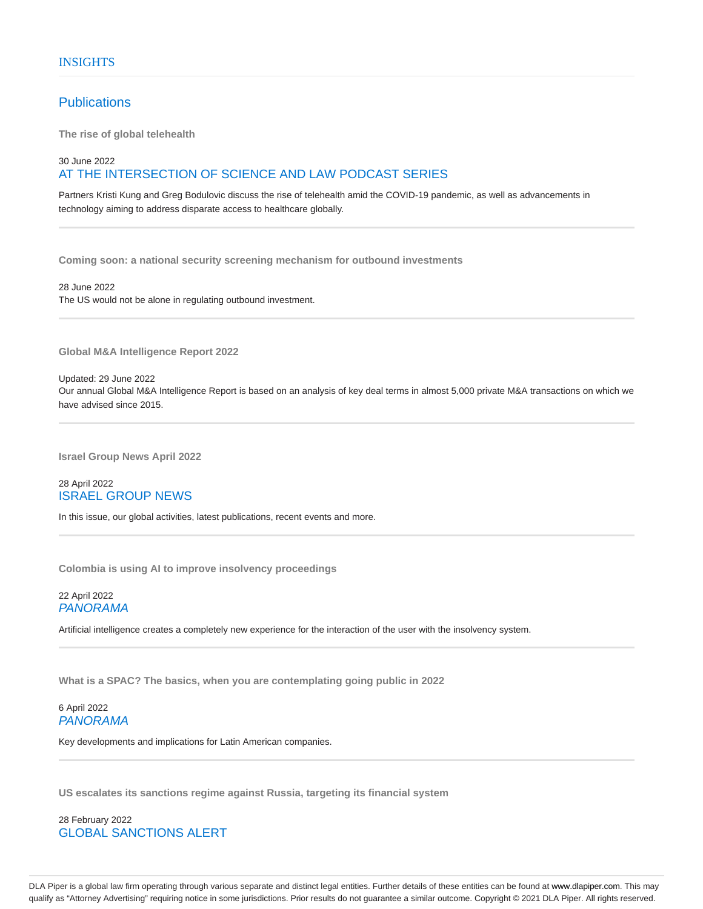# **Publications**

**The rise of global telehealth**

# 30 June 2022 AT THE INTERSECTION OF SCIENCE AND LAW PODCAST SERIES

Partners Kristi Kung and Greg Bodulovic discuss the rise of telehealth amid the COVID-19 pandemic, as well as advancements in technology aiming to address disparate access to healthcare globally.

**Coming soon: a national security screening mechanism for outbound investments**

28 June 2022 The US would not be alone in regulating outbound investment.

**Global M&A Intelligence Report 2022**

Updated: 29 June 2022

Our annual Global M&A Intelligence Report is based on an analysis of key deal terms in almost 5,000 private M&A transactions on which we have advised since 2015.

**Israel Group News April 2022**

# 28 April 2022 ISRAEL GROUP NEWS

In this issue, our global activities, latest publications, recent events and more.

**Colombia is using AI to improve insolvency proceedings**

22 April 2022 PANORAMA

Artificial intelligence creates a completely new experience for the interaction of the user with the insolvency system.

**What is a SPAC? The basics, when you are contemplating going public in 2022**

# 6 April 2022 PANORAMA

Key developments and implications for Latin American companies.

**US escalates its sanctions regime against Russia, targeting its financial system**

28 February 2022 GLOBAL SANCTIONS ALERT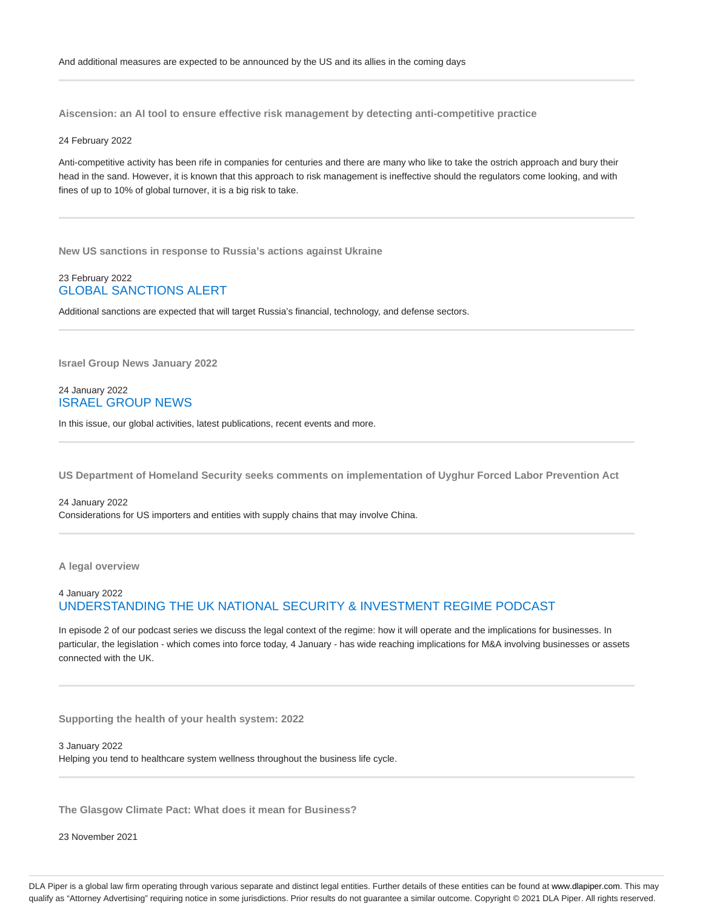**Aiscension: an AI tool to ensure effective risk management by detecting anti-competitive practice**

## 24 February 2022

Anti-competitive activity has been rife in companies for centuries and there are many who like to take the ostrich approach and bury their head in the sand. However, it is known that this approach to risk management is ineffective should the regulators come looking, and with fines of up to 10% of global turnover, it is a big risk to take.

**New US sanctions in response to Russia's actions against Ukraine**

# 23 February 2022 GLOBAL SANCTIONS ALERT

Additional sanctions are expected that will target Russia's financial, technology, and defense sectors.

**Israel Group News January 2022**

# 24 January 2022 ISRAEL GROUP NEWS

In this issue, our global activities, latest publications, recent events and more.

**US Department of Homeland Security seeks comments on implementation of Uyghur Forced Labor Prevention Act**

24 January 2022 Considerations for US importers and entities with supply chains that may involve China.

**A legal overview**

# 4 January 2022 UNDERSTANDING THE UK NATIONAL SECURITY & INVESTMENT REGIME PODCAST

In episode 2 of our podcast series we discuss the legal context of the regime: how it will operate and the implications for businesses. In particular, the legislation - which comes into force today, 4 January - has wide reaching implications for M&A involving businesses or assets connected with the UK.

**Supporting the health of your health system: 2022**

3 January 2022 Helping you tend to healthcare system wellness throughout the business life cycle.

**The Glasgow Climate Pact: What does it mean for Business?**

23 November 2021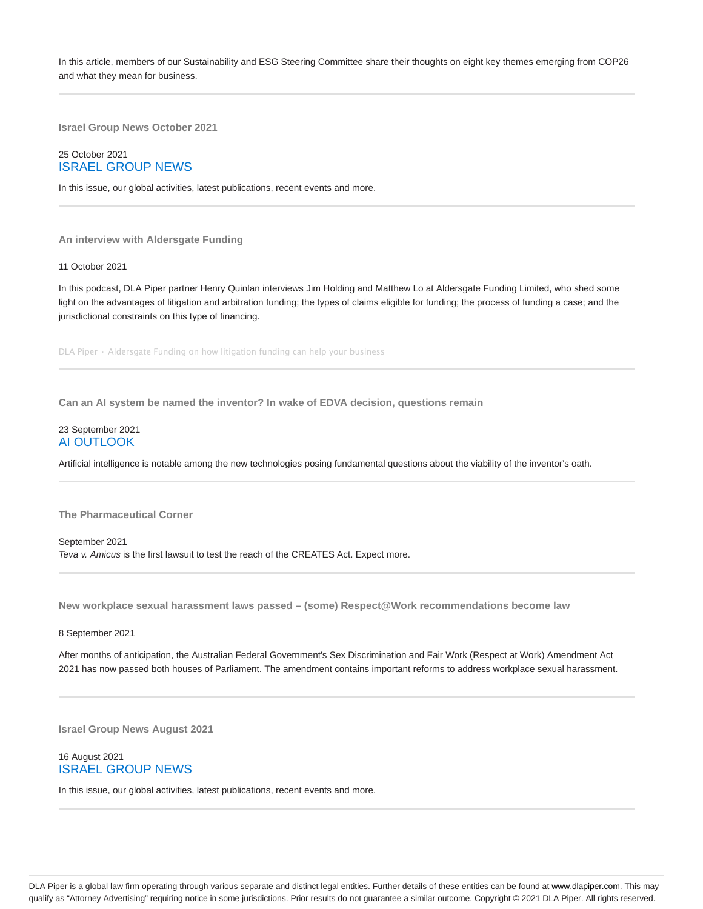In this article, members of our Sustainability and ESG Steering Committee share their thoughts on eight key themes emerging from COP26 and what they mean for business.

**Israel Group News October 2021**

# 25 October 2021 ISRAEL GROUP NEWS

In this issue, our global activities, latest publications, recent events and more.

## **An interview with Aldersgate Funding**

11 October 2021

In this podcast, DLA Piper partner Henry Quinlan interviews Jim Holding and Matthew Lo at Aldersgate Funding Limited, who shed some light on the advantages of litigation and arbitration funding; the types of claims eligible for funding; the process of funding a case; and the jurisdictional constraints on this type of financing.

DLA Piper · Aldersgate Funding on how litigation funding can help your business

**Can an AI system be named the inventor? In wake of EDVA decision, questions remain**

# 23 September 2021 AI OUTLOOK

Artificial intelligence is notable among the new technologies posing fundamental questions about the viability of the inventor's oath.

**The Pharmaceutical Corner**

September 2021 Teva v. Amicus is the first lawsuit to test the reach of the CREATES Act. Expect more.

**New workplace sexual harassment laws passed – (some) Respect@Work recommendations become law**

8 September 2021

After months of anticipation, the Australian Federal Government's Sex Discrimination and Fair Work (Respect at Work) Amendment Act 2021 has now passed both houses of Parliament. The amendment contains important reforms to address workplace sexual harassment.

**Israel Group News August 2021**

# 16 August 2021 ISRAEL GROUP NEWS

In this issue, our global activities, latest publications, recent events and more.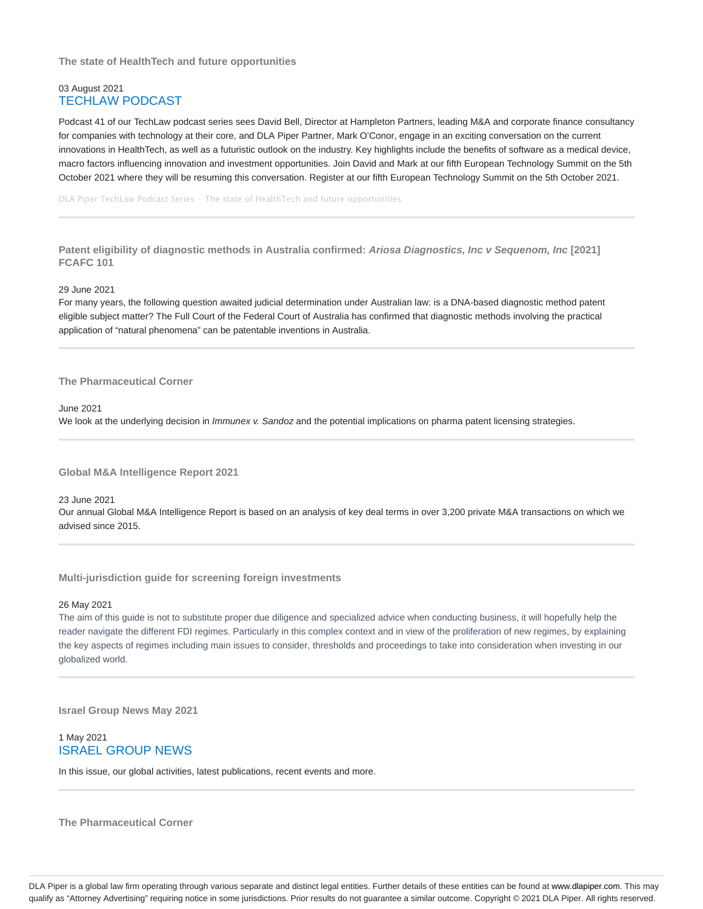**The state of HealthTech and future opportunities**

# 03 August 2021 TECHLAW PODCAST

Podcast 41 of our TechLaw podcast series sees David Bell, Director at Hampleton Partners, leading M&A and corporate finance consultancy for companies with technology at their core, and DLA Piper Partner, Mark O'Conor, engage in an exciting conversation on the current innovations in HealthTech, as well as a futuristic outlook on the industry. Key highlights include the benefits of software as a medical device, macro factors influencing innovation and investment opportunities. Join David and Mark at our fifth European Technology Summit on the 5th October 2021 where they will be resuming this conversation. Register at our fifth European Technology Summit on the 5th October 2021.

DLA Piper TechLaw Podcast Series · The state of HealthTech and future opportunities

**Patent eligibility of diagnostic methods in Australia confirmed: Ariosa Diagnostics, Inc v Sequenom, Inc [2021] FCAFC 101**

29 June 2021

For many years, the following question awaited judicial determination under Australian law: is a DNA-based diagnostic method patent eligible subject matter? The Full Court of the Federal Court of Australia has confirmed that diagnostic methods involving the practical application of "natural phenomena" can be patentable inventions in Australia.

**The Pharmaceutical Corner**

June 2021

We look at the underlying decision in *Immunex v. Sandoz* and the potential implications on pharma patent licensing strategies.

**Global M&A Intelligence Report 2021**

23 June 2021

Our annual Global M&A Intelligence Report is based on an analysis of key deal terms in over 3,200 private M&A transactions on which we advised since 2015.

**Multi-jurisdiction guide for screening foreign investments**

26 May 2021

The aim of this guide is not to substitute proper due diligence and specialized advice when conducting business, it will hopefully help the reader navigate the different FDI regimes. Particularly in this complex context and in view of the proliferation of new regimes, by explaining the key aspects of regimes including main issues to consider, thresholds and proceedings to take into consideration when investing in our globalized world.

**Israel Group News May 2021**

# 1 May 2021 ISRAEL GROUP NEWS

In this issue, our global activities, latest publications, recent events and more.

**The Pharmaceutical Corner**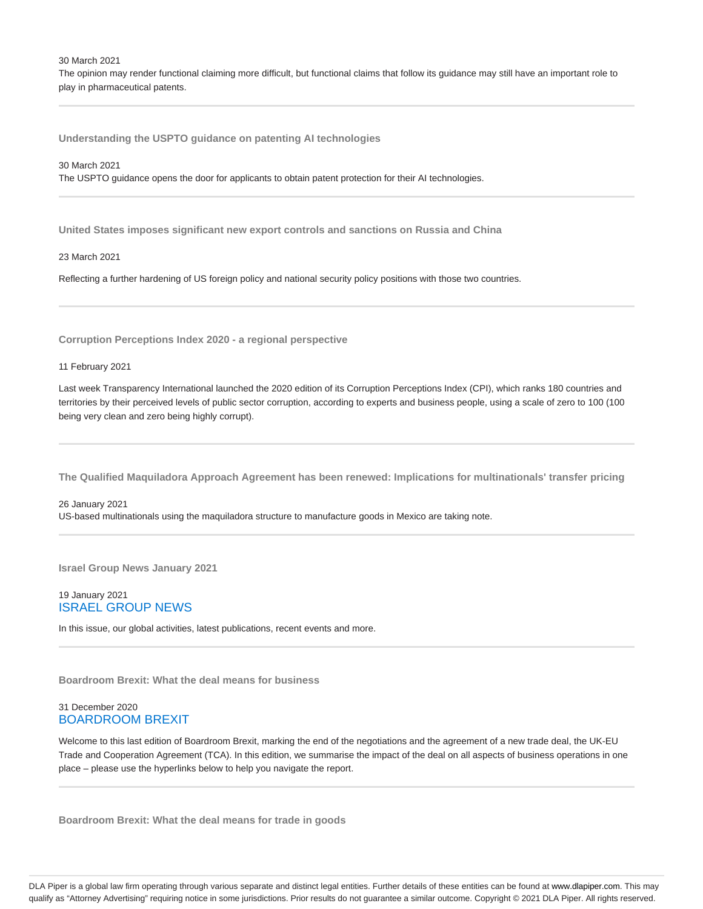30 March 2021

The opinion may render functional claiming more difficult, but functional claims that follow its guidance may still have an important role to play in pharmaceutical patents.

**Understanding the USPTO guidance on patenting AI technologies**

30 March 2021 The USPTO guidance opens the door for applicants to obtain patent protection for their AI technologies.

**United States imposes significant new export controls and sanctions on Russia and China**

23 March 2021

Reflecting a further hardening of US foreign policy and national security policy positions with those two countries.

**Corruption Perceptions Index 2020 - a regional perspective**

11 February 2021

Last week Transparency International launched the 2020 edition of its Corruption Perceptions Index (CPI), which ranks 180 countries and territories by their perceived levels of public sector corruption, according to experts and business people, using a scale of zero to 100 (100 being very clean and zero being highly corrupt).

**The Qualified Maquiladora Approach Agreement has been renewed: Implications for multinationals' transfer pricing**

26 January 2021 US-based multinationals using the maquiladora structure to manufacture goods in Mexico are taking note.

**Israel Group News January 2021**

# 19 January 2021 ISRAEL GROUP NEWS

In this issue, our global activities, latest publications, recent events and more.

**Boardroom Brexit: What the deal means for business**

# 31 December 2020 BOARDROOM BREXIT

Welcome to this last edition of Boardroom Brexit, marking the end of the negotiations and the agreement of a new trade deal, the UK-EU Trade and Cooperation Agreement (TCA). In this edition, we summarise the impact of the deal on all aspects of business operations in one place – please use the hyperlinks below to help you navigate the report.

**Boardroom Brexit: What the deal means for trade in goods**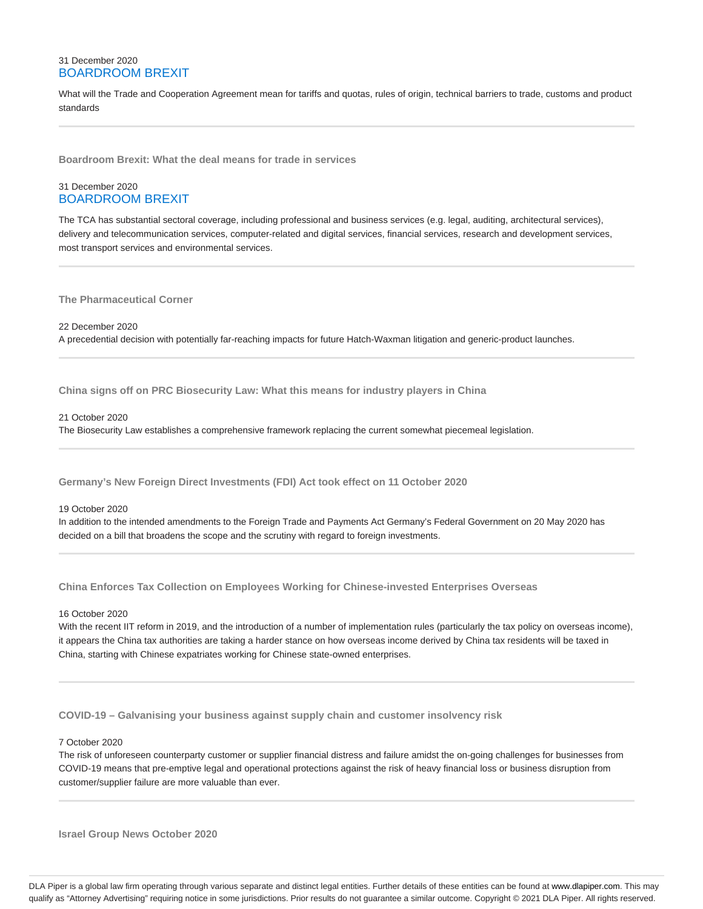# 31 December 2020 BOARDROOM BREXIT

What will the Trade and Cooperation Agreement mean for tariffs and quotas, rules of origin, technical barriers to trade, customs and product standards

**Boardroom Brexit: What the deal means for trade in services**

# 31 December 2020 BOARDROOM BREXIT

The TCA has substantial sectoral coverage, including professional and business services (e.g. legal, auditing, architectural services), delivery and telecommunication services, computer-related and digital services, financial services, research and development services, most transport services and environmental services.

**The Pharmaceutical Corner**

22 December 2020

A precedential decision with potentially far-reaching impacts for future Hatch-Waxman litigation and generic-product launches.

**China signs off on PRC Biosecurity Law: What this means for industry players in China**

21 October 2020

The Biosecurity Law establishes a comprehensive framework replacing the current somewhat piecemeal legislation.

**Germany's New Foreign Direct Investments (FDI) Act took effect on 11 October 2020**

## 19 October 2020

In addition to the intended amendments to the Foreign Trade and Payments Act Germany's Federal Government on 20 May 2020 has decided on a bill that broadens the scope and the scrutiny with regard to foreign investments.

**China Enforces Tax Collection on Employees Working for Chinese-invested Enterprises Overseas**

16 October 2020

With the recent IIT reform in 2019, and the introduction of a number of implementation rules (particularly the tax policy on overseas income), it appears the China tax authorities are taking a harder stance on how overseas income derived by China tax residents will be taxed in China, starting with Chinese expatriates working for Chinese state-owned enterprises.

**COVID-19 – Galvanising your business against supply chain and customer insolvency risk**

7 October 2020

The risk of unforeseen counterparty customer or supplier financial distress and failure amidst the on-going challenges for businesses from COVID-19 means that pre-emptive legal and operational protections against the risk of heavy financial loss or business disruption from customer/supplier failure are more valuable than ever.

**Israel Group News October 2020**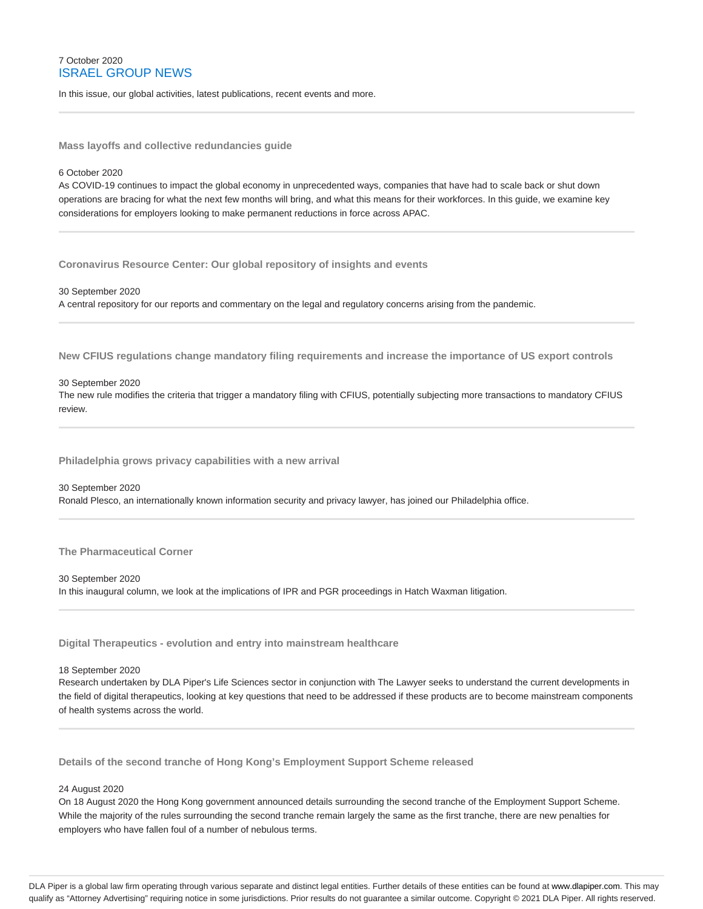# 7 October 2020 ISRAEL GROUP NEWS

In this issue, our global activities, latest publications, recent events and more.

**Mass layoffs and collective redundancies guide**

## 6 October 2020

As COVID-19 continues to impact the global economy in unprecedented ways, companies that have had to scale back or shut down operations are bracing for what the next few months will bring, and what this means for their workforces. In this guide, we examine key considerations for employers looking to make permanent reductions in force across APAC.

**Coronavirus Resource Center: Our global repository of insights and events**

30 September 2020 A central repository for our reports and commentary on the legal and regulatory concerns arising from the pandemic.

**New CFIUS regulations change mandatory filing requirements and increase the importance of US export controls**

## 30 September 2020

The new rule modifies the criteria that trigger a mandatory filing with CFIUS, potentially subjecting more transactions to mandatory CFIUS review.

**Philadelphia grows privacy capabilities with a new arrival**

30 September 2020 Ronald Plesco, an internationally known information security and privacy lawyer, has joined our Philadelphia office.

**The Pharmaceutical Corner**

30 September 2020 In this inaugural column, we look at the implications of IPR and PGR proceedings in Hatch Waxman litigation.

**Digital Therapeutics - evolution and entry into mainstream healthcare**

18 September 2020

Research undertaken by DLA Piper's Life Sciences sector in conjunction with The Lawyer seeks to understand the current developments in the field of digital therapeutics, looking at key questions that need to be addressed if these products are to become mainstream components of health systems across the world.

**Details of the second tranche of Hong Kong's Employment Support Scheme released**

## 24 August 2020

On 18 August 2020 the Hong Kong government announced details surrounding the second tranche of the Employment Support Scheme. While the majority of the rules surrounding the second tranche remain largely the same as the first tranche, there are new penalties for employers who have fallen foul of a number of nebulous terms.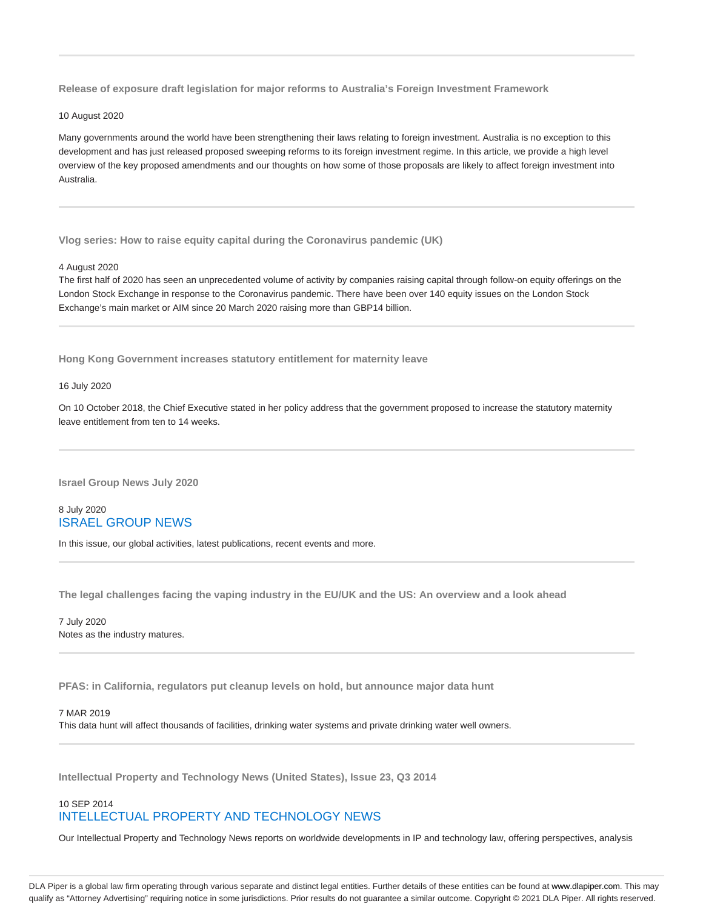**Release of exposure draft legislation for major reforms to Australia's Foreign Investment Framework**

10 August 2020

Many governments around the world have been strengthening their laws relating to foreign investment. Australia is no exception to this development and has just released proposed sweeping reforms to its foreign investment regime. In this article, we provide a high level overview of the key proposed amendments and our thoughts on how some of those proposals are likely to affect foreign investment into Australia.

**Vlog series: How to raise equity capital during the Coronavirus pandemic (UK)**

#### 4 August 2020

The first half of 2020 has seen an unprecedented volume of activity by companies raising capital through follow-on equity offerings on the London Stock Exchange in response to the Coronavirus pandemic. There have been over 140 equity issues on the London Stock Exchange's main market or AIM since 20 March 2020 raising more than GBP14 billion.

**Hong Kong Government increases statutory entitlement for maternity leave**

16 July 2020

On 10 October 2018, the Chief Executive stated in her policy address that the government proposed to increase the statutory maternity leave entitlement from ten to 14 weeks.

**Israel Group News July 2020**

# 8 July 2020 ISRAEL GROUP NEWS

In this issue, our global activities, latest publications, recent events and more.

**The legal challenges facing the vaping industry in the EU/UK and the US: An overview and a look ahead**

7 July 2020 Notes as the industry matures.

**PFAS: in California, regulators put cleanup levels on hold, but announce major data hunt**

## 7 MAR 2019

This data hunt will affect thousands of facilities, drinking water systems and private drinking water well owners.

**Intellectual Property and Technology News (United States), Issue 23, Q3 2014**

# 10 SEP 2014 INTELLECTUAL PROPERTY AND TECHNOLOGY NEWS

Our Intellectual Property and Technology News reports on worldwide developments in IP and technology law, offering perspectives, analysis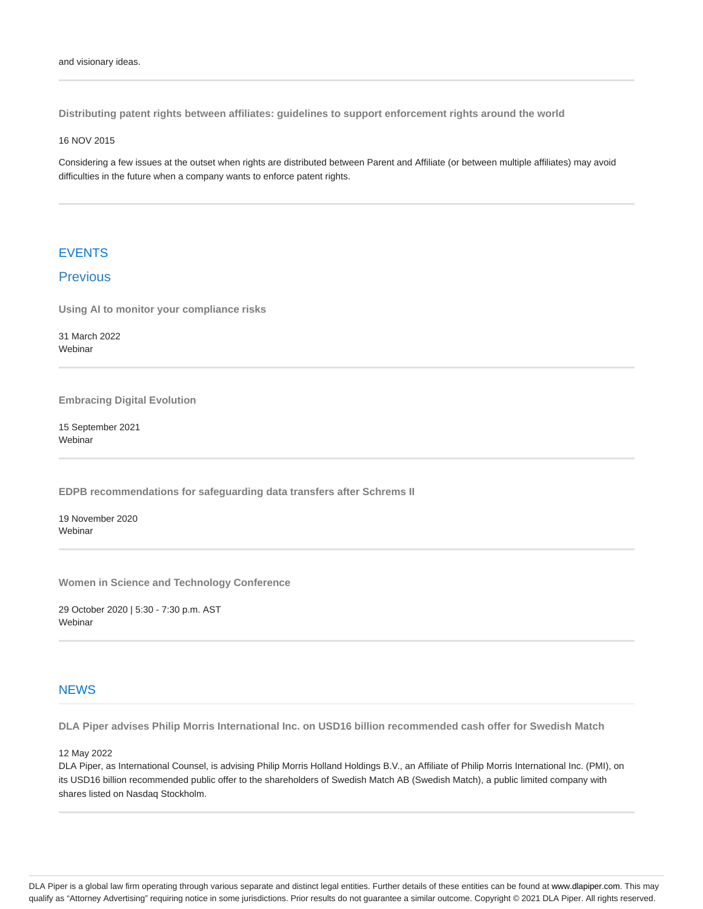**Distributing patent rights between affiliates: guidelines to support enforcement rights around the world**

16 NOV 2015

Considering a few issues at the outset when rights are distributed between Parent and Affiliate (or between multiple affiliates) may avoid difficulties in the future when a company wants to enforce patent rights.

# EVENTS

# Previous

**Using AI to monitor your compliance risks**

31 March 2022 **Webinar** 

**Embracing Digital Evolution**

15 September 2021 **Webinar** 

**EDPB recommendations for safeguarding data transfers after Schrems II**

19 November 2020 **Webinar** 

**Women in Science and Technology Conference**

29 October 2020 | 5:30 - 7:30 p.m. AST Webinar

# **NEWS**

**DLA Piper advises Philip Morris International Inc. on USD16 billion recommended cash offer for Swedish Match**

12 May 2022

DLA Piper, as International Counsel, is advising Philip Morris Holland Holdings B.V., an Affiliate of Philip Morris International Inc. (PMI), on its USD16 billion recommended public offer to the shareholders of Swedish Match AB (Swedish Match), a public limited company with shares listed on Nasdaq Stockholm.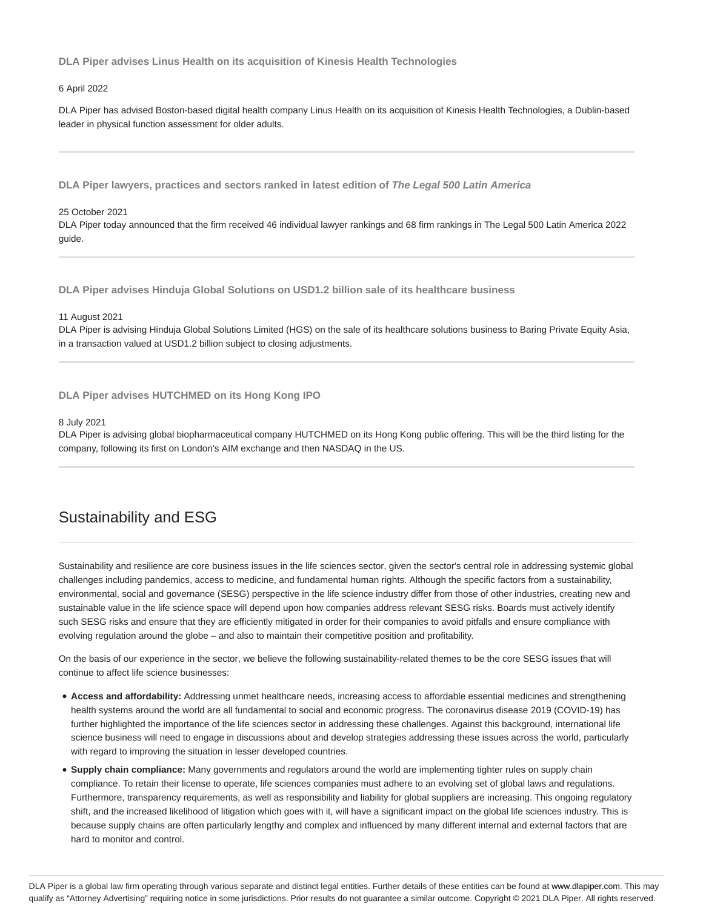**DLA Piper advises Linus Health on its acquisition of Kinesis Health Technologies**

## 6 April 2022

DLA Piper has advised Boston-based digital health company Linus Health on its acquisition of Kinesis Health Technologies, a Dublin-based leader in physical function assessment for older adults.

**DLA Piper lawyers, practices and sectors ranked in latest edition of The Legal 500 Latin America**

## 25 October 2021

DLA Piper today announced that the firm received 46 individual lawyer rankings and 68 firm rankings in The Legal 500 Latin America 2022 guide.

**DLA Piper advises Hinduja Global Solutions on USD1.2 billion sale of its healthcare business**

11 August 2021

DLA Piper is advising Hinduja Global Solutions Limited (HGS) on the sale of its healthcare solutions business to Baring Private Equity Asia, in a transaction valued at USD1.2 billion subject to closing adjustments.

**DLA Piper advises HUTCHMED on its Hong Kong IPO**

## 8 July 2021

DLA Piper is advising global biopharmaceutical company HUTCHMED on its Hong Kong public offering. This will be the third listing for the company, following its first on London's AIM exchange and then NASDAQ in the US.

# Sustainability and ESG

Sustainability and resilience are core business issues in the life sciences sector, given the sector's central role in addressing systemic global challenges including pandemics, access to medicine, and fundamental human rights. Although the specific factors from a sustainability, environmental, social and governance (SESG) perspective in the life science industry differ from those of other industries, creating new and sustainable value in the life science space will depend upon how companies address relevant SESG risks. Boards must actively identify such SESG risks and ensure that they are efficiently mitigated in order for their companies to avoid pitfalls and ensure compliance with evolving regulation around the globe – and also to maintain their competitive position and profitability.

On the basis of our experience in the sector, we believe the following sustainability-related themes to be the core SESG issues that will continue to affect life science businesses:

- **Access and affordability:** Addressing unmet healthcare needs, increasing access to affordable essential medicines and strengthening health systems around the world are all fundamental to social and economic progress. The coronavirus disease 2019 (COVID-19) has further highlighted the importance of the life sciences sector in addressing these challenges. Against this background, international life science business will need to engage in discussions about and develop strategies addressing these issues across the world, particularly with regard to improving the situation in lesser developed countries.
- **Supply chain compliance:** Many governments and regulators around the world are implementing tighter rules on supply chain compliance. To retain their license to operate, life sciences companies must adhere to an evolving set of global laws and regulations. Furthermore, transparency requirements, as well as responsibility and liability for global suppliers are increasing. This ongoing regulatory shift, and the increased likelihood of litigation which goes with it, will have a significant impact on the global life sciences industry. This is because supply chains are often particularly lengthy and complex and influenced by many different internal and external factors that are hard to monitor and control.